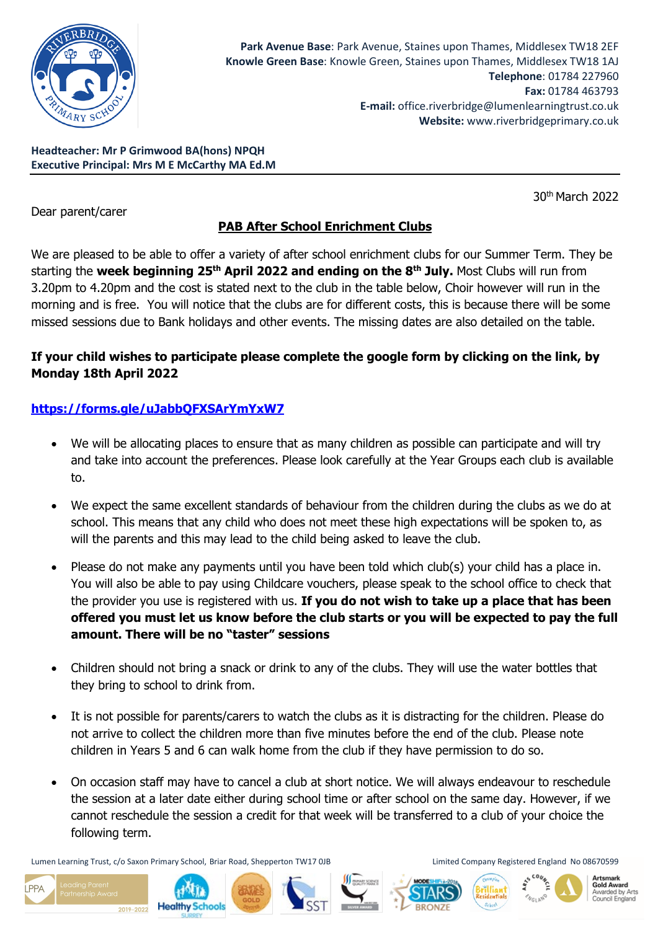

**Headteacher: Mr P Grimwood BA(hons) NPQH Executive Principal: Mrs M E McCarthy MA Ed.M**

Dear parent/carer

30th March 2022

# **PAB After School Enrichment Clubs**

We are pleased to be able to offer a variety of after school enrichment clubs for our Summer Term. They be starting the **week beginning 25th April 2022 and ending on the 8th July.** Most Clubs will run from 3.20pm to 4.20pm and the cost is stated next to the club in the table below, Choir however will run in the morning and is free. You will notice that the clubs are for different costs, this is because there will be some missed sessions due to Bank holidays and other events. The missing dates are also detailed on the table.

## **If your child wishes to participate please complete the google form by clicking on the link, by Monday 18th April 2022**

## **<https://forms.gle/uJabbQFXSArYmYxW7>**

- We will be allocating places to ensure that as many children as possible can participate and will try and take into account the preferences. Please look carefully at the Year Groups each club is available to.
- We expect the same excellent standards of behaviour from the children during the clubs as we do at school. This means that any child who does not meet these high expectations will be spoken to, as will the parents and this may lead to the child being asked to leave the club.
- Please do not make any payments until you have been told which club(s) your child has a place in. You will also be able to pay using Childcare vouchers, please speak to the school office to check that the provider you use is registered with us. **If you do not wish to take up a place that has been offered you must let us know before the club starts or you will be expected to pay the full amount. There will be no "taster" sessions**
- Children should not bring a snack or drink to any of the clubs. They will use the water bottles that they bring to school to drink from.
- It is not possible for parents/carers to watch the clubs as it is distracting for the children. Please do not arrive to collect the children more than five minutes before the end of the club. Please note children in Years 5 and 6 can walk home from the club if they have permission to do so.
- On occasion staff may have to cancel a club at short notice. We will always endeavour to reschedule the session at a later date either during school time or after school on the same day. However, if we cannot reschedule the session a credit for that week will be transferred to a club of your choice the following term.

Lumen Learning Trust, c/o Saxon Primary School, Briar Road, Shepperton TW17 0JB Limited Company Registered England No 08670599

2019-2022

 $PPA$ 











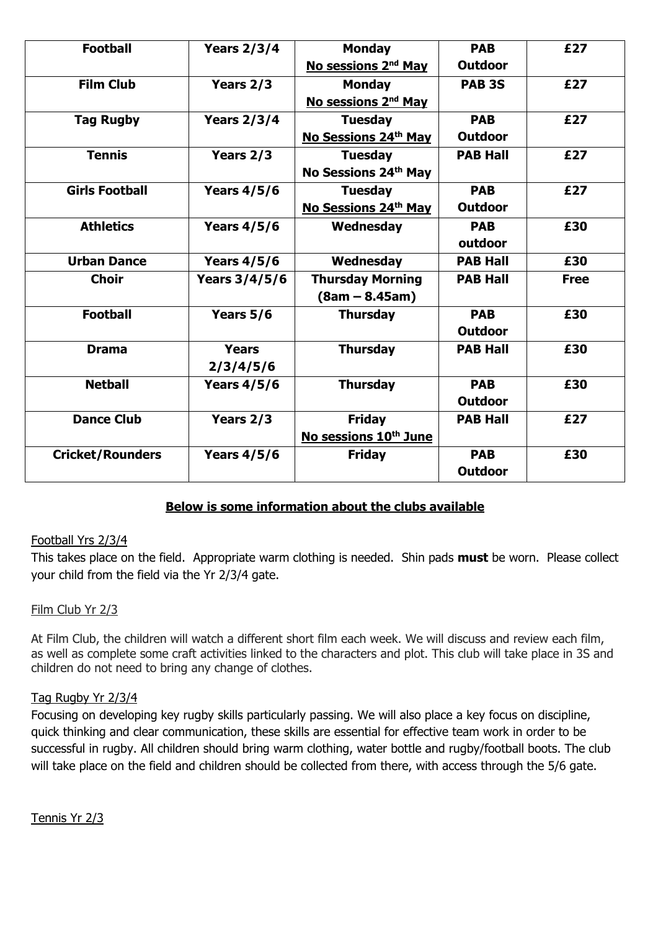| <b>Football</b>         | <b>Years 2/3/4</b> | <b>Monday</b>                     | <b>PAB</b>        | £27         |
|-------------------------|--------------------|-----------------------------------|-------------------|-------------|
|                         |                    | No sessions 2 <sup>nd</sup> May   | <b>Outdoor</b>    |             |
| <b>Film Club</b>        | Years 2/3          | <b>Monday</b>                     | PAB <sub>3S</sub> | £27         |
|                         |                    | No sessions 2 <sup>nd</sup> May   |                   |             |
| <b>Tag Rugby</b>        | <b>Years 2/3/4</b> | <b>Tuesday</b>                    | <b>PAB</b>        | £27         |
|                         |                    | No Sessions 24th May              | <b>Outdoor</b>    |             |
| <b>Tennis</b>           | Years 2/3          | <b>Tuesday</b>                    | <b>PAB Hall</b>   | £27         |
|                         |                    | No Sessions 24th May              |                   |             |
| <b>Girls Football</b>   | <b>Years 4/5/6</b> | <b>Tuesday</b>                    | <b>PAB</b>        | £27         |
|                         |                    | No Sessions 24th May              | <b>Outdoor</b>    |             |
| <b>Athletics</b>        | <b>Years 4/5/6</b> | Wednesday                         | <b>PAB</b>        | £30         |
|                         |                    |                                   | outdoor           |             |
| <b>Urban Dance</b>      | <b>Years 4/5/6</b> | Wednesday                         | <b>PAB Hall</b>   | £30         |
| <b>Choir</b>            | Years 3/4/5/6      | <b>Thursday Morning</b>           | <b>PAB Hall</b>   | <b>Free</b> |
|                         |                    | $(8am - 8.45am)$                  |                   |             |
| <b>Football</b>         | Years 5/6          | <b>Thursday</b>                   | <b>PAB</b>        | £30         |
|                         |                    |                                   | <b>Outdoor</b>    |             |
| <b>Drama</b>            | <b>Years</b>       | <b>Thursday</b>                   | <b>PAB Hall</b>   | £30         |
|                         | 2/3/4/5/6          |                                   |                   |             |
| <b>Netball</b>          | <b>Years 4/5/6</b> | <b>Thursday</b>                   | <b>PAB</b>        | £30         |
|                         |                    |                                   | <b>Outdoor</b>    |             |
| <b>Dance Club</b>       | Years 2/3          | <b>Friday</b>                     | <b>PAB Hall</b>   | £27         |
|                         |                    | No sessions 10 <sup>th</sup> June |                   |             |
| <b>Cricket/Rounders</b> | <b>Years 4/5/6</b> | <b>Friday</b>                     | <b>PAB</b>        | £30         |
|                         |                    |                                   | <b>Outdoor</b>    |             |

## **Below is some information about the clubs available**

## Football Yrs 2/3/4

This takes place on the field. Appropriate warm clothing is needed. Shin pads **must** be worn. Please collect your child from the field via the Yr 2/3/4 gate.

## Film Club Yr 2/3

At Film Club, the children will watch a different short film each week. We will discuss and review each film, as well as complete some craft activities linked to the characters and plot. This club will take place in 3S and children do not need to bring any change of clothes.

## Tag Rugby Yr 2/3/4

Focusing on developing key rugby skills particularly passing. We will also place a key focus on discipline, quick thinking and clear communication, these skills are essential for effective team work in order to be successful in rugby. All children should bring warm clothing, water bottle and rugby/football boots. The club will take place on the field and children should be collected from there, with access through the 5/6 gate.

Tennis Yr 2/3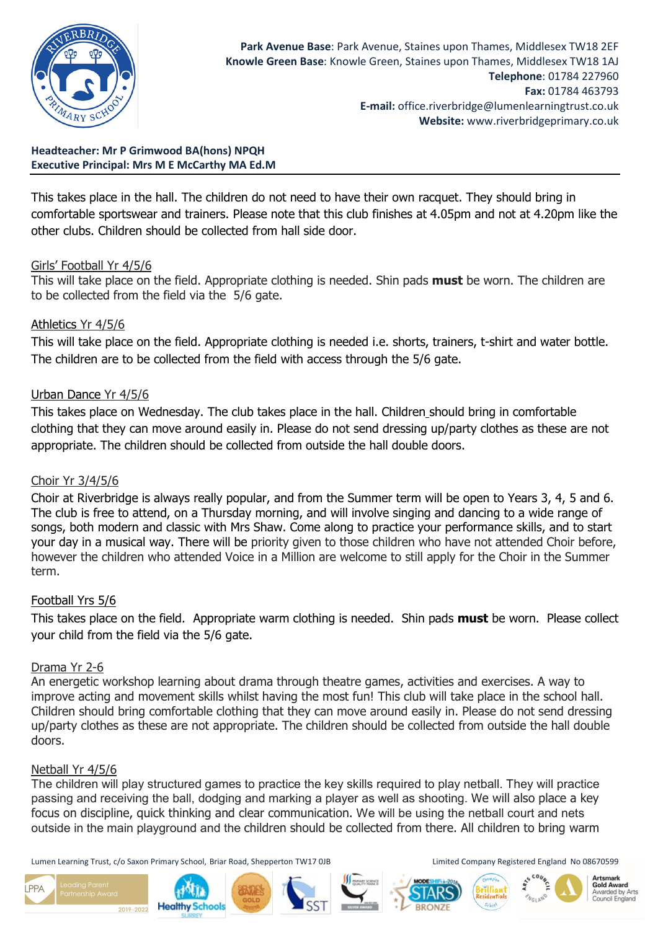

**Headteacher: Mr P Grimwood BA(hons) NPQH Executive Principal: Mrs M E McCarthy MA Ed.M**

This takes place in the hall. The children do not need to have their own racquet. They should bring in comfortable sportswear and trainers. Please note that this club finishes at 4.05pm and not at 4.20pm like the other clubs. Children should be collected from hall side door.

#### Girls' Football Yr 4/5/6

This will take place on the field. Appropriate clothing is needed. Shin pads **must** be worn. The children are to be collected from the field via the 5/6 gate.

#### Athletics Yr 4/5/6

This will take place on the field. Appropriate clothing is needed i.e. shorts, trainers, t-shirt and water bottle. The children are to be collected from the field with access through the 5/6 gate.

## Urban Dance Yr 4/5/6

This takes place on Wednesday. The club takes place in the hall. Children should bring in comfortable clothing that they can move around easily in. Please do not send dressing up/party clothes as these are not appropriate. The children should be collected from outside the hall double doors.

#### Choir Yr 3/4/5/6

Choir at Riverbridge is always really popular, and from the Summer term will be open to Years 3, 4, 5 and 6. The club is free to attend, on a Thursday morning, and will involve singing and dancing to a wide range of songs, both modern and classic with Mrs Shaw. Come along to practice your performance skills, and to start your day in a musical way. There will be priority given to those children who have not attended Choir before, however the children who attended Voice in a Million are welcome to still apply for the Choir in the Summer term.

#### Football Yrs 5/6

This takes place on the field. Appropriate warm clothing is needed. Shin pads **must** be worn. Please collect your child from the field via the 5/6 gate.

#### Drama Yr 2-6

An energetic workshop learning about drama through theatre games, activities and exercises. A way to improve acting and movement skills whilst having the most fun! This club will take place in the school hall. Children should bring comfortable clothing that they can move around easily in. Please do not send dressing up/party clothes as these are not appropriate. The children should be collected from outside the hall double doors.

#### Netball Yr 4/5/6

The children will play structured games to practice the key skills required to play netball. They will practice passing and receiving the ball, dodging and marking a player as well as shooting. We will also place a key focus on discipline, quick thinking and clear communication. We will be using the netball court and nets outside in the main playground and the children should be collected from there. All children to bring warm

Lumen Learning Trust, c/o Saxon Primary School, Briar Road, Shepperton TW17 0JB Limited Company Registered England No 08670599

2019-2022